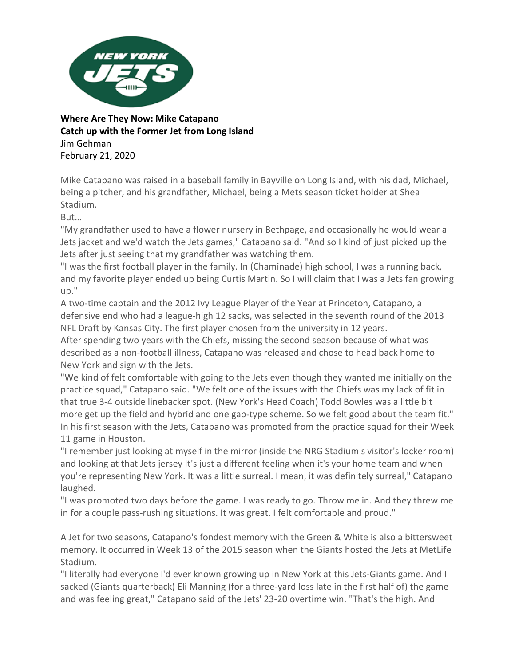

**Where Are They Now: Mike Catapano Catch up with the Former Jet from Long Island** Jim Gehman February 21, 2020

Mike Catapano was raised in a baseball family in Bayville on Long Island, with his dad, Michael, being a pitcher, and his grandfather, Michael, being a Mets season ticket holder at Shea Stadium.

But…

"My grandfather used to have a flower nursery in Bethpage, and occasionally he would wear a Jets jacket and we'd watch the Jets games," Catapano said. "And so I kind of just picked up the Jets after just seeing that my grandfather was watching them.

"I was the first football player in the family. In (Chaminade) high school, I was a running back, and my favorite player ended up being Curtis Martin. So I will claim that I was a Jets fan growing up."

A two-time captain and the 2012 Ivy League Player of the Year at Princeton, Catapano, a defensive end who had a league-high 12 sacks, was selected in the seventh round of the 2013 NFL Draft by Kansas City. The first player chosen from the university in 12 years.

After spending two years with the Chiefs, missing the second season because of what was described as a non-football illness, Catapano was released and chose to head back home to New York and sign with the Jets.

"We kind of felt comfortable with going to the Jets even though they wanted me initially on the practice squad," Catapano said. "We felt one of the issues with the Chiefs was my lack of fit in that true 3-4 outside linebacker spot. (New York's Head Coach) Todd Bowles was a little bit more get up the field and hybrid and one gap-type scheme. So we felt good about the team fit." In his first season with the Jets, Catapano was promoted from the practice squad for their Week 11 game in Houston.

"I remember just looking at myself in the mirror (inside the NRG Stadium's visitor's locker room) and looking at that Jets jersey It's just a different feeling when it's your home team and when you're representing New York. It was a little surreal. I mean, it was definitely surreal," Catapano laughed.

"I was promoted two days before the game. I was ready to go. Throw me in. And they threw me in for a couple pass-rushing situations. It was great. I felt comfortable and proud."

A Jet for two seasons, Catapano's fondest memory with the Green & White is also a bittersweet memory. It occurred in Week 13 of the 2015 season when the Giants hosted the Jets at MetLife Stadium.

"I literally had everyone I'd ever known growing up in New York at this Jets-Giants game. And I sacked (Giants quarterback) Eli Manning (for a three-yard loss late in the first half of) the game and was feeling great," Catapano said of the Jets' 23-20 overtime win. "That's the high. And